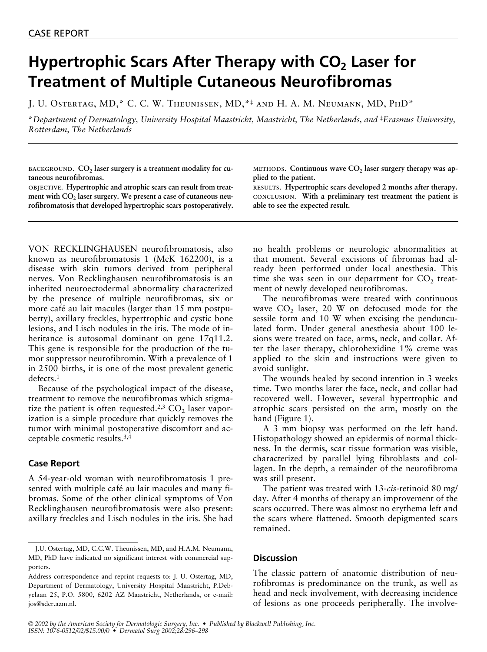## **Hypertrophic Scars After Therapy with CO<sub>2</sub> Laser for Treatment of Multiple Cutaneous Neurofibromas**

J. U. Ostertag, MD,\* C. C. W. Theunissen, MD,\*‡ and H. A. M. Neumann, MD, PhD\*

\**Department of Dermatology, University Hospital Maastricht, Maastricht, The Netherlands, and* ‡*Erasmus University, Rotterdam, The Netherlands*

BACKGROUND. CO<sub>2</sub> laser surgery is a treatment modality for cu**taneous neurofibromas.**

objective. **Hypertrophic and atrophic scars can result from treat**ment with CO<sub>2</sub> laser surgery. We present a case of cutaneous neu**rofibromatosis that developed hypertrophic scars postoperatively.**

VON RECKLINGHAUSEN neurofibromatosis, also known as neurofibromatosis 1 (McK 162200), is a disease with skin tumors derived from peripheral nerves. Von Recklinghausen neurofibromatosis is an inherited neuroectodermal abnormality characterized by the presence of multiple neurofibromas, six or more café au lait macules (larger than 15 mm postpuberty), axillary freckles, hypertrophic and cystic bone lesions, and Lisch nodules in the iris. The mode of inheritance is autosomal dominant on gene 17q11.2. This gene is responsible for the production of the tumor suppressor neurofibromin. With a prevalence of 1 in 2500 births, it is one of the most prevalent genetic defects.1

Because of the psychological impact of the disease, treatment to remove the neurofibromas which stigmatize the patient is often requested.<sup>2,3</sup>  $CO<sub>2</sub>$  laser vaporization is a simple procedure that quickly removes the tumor with minimal postoperative discomfort and acceptable cosmetic results.3,4

## **Case Report**

A 54-year-old woman with neurofibromatosis 1 presented with multiple café au lait macules and many fibromas. Some of the other clinical symptoms of Von Recklinghausen neurofibromatosis were also present: axillary freckles and Lisch nodules in the iris. She had METHODS. Continuous wave CO<sub>2</sub> laser surgery therapy was ap**plied to the patient.**

results. **Hypertrophic scars developed 2 months after therapy.** conclusion. **With a preliminary test treatment the patient is able to see the expected result.**

no health problems or neurologic abnormalities at that moment. Several excisions of fibromas had already been performed under local anesthesia. This time she was seen in our department for  $CO<sub>2</sub>$  treatment of newly developed neurofibromas.

The neurofibromas were treated with continuous wave  $CO<sub>2</sub>$  laser, 20 W on defocused mode for the sessile form and 10 W when excising the pendunculated form. Under general anesthesia about 100 lesions were treated on face, arms, neck, and collar. After the laser therapy, chlorohexidine 1% creme was applied to the skin and instructions were given to avoid sunlight.

The wounds healed by second intention in 3 weeks time. Two months later the face, neck, and collar had recovered well. However, several hypertrophic and atrophic scars persisted on the arm, mostly on the hand (Figure 1).

A 3 mm biopsy was performed on the left hand. Histopathology showed an epidermis of normal thickness. In the dermis, scar tissue formation was visible, characterized by parallel lying fibroblasts and collagen. In the depth, a remainder of the neurofibroma was still present.

The patient was treated with 13-*cis*-retinoid 80 mg/ day. After 4 months of therapy an improvement of the scars occurred. There was almost no erythema left and the scars where flattened. Smooth depigmented scars remained.

## **Discussion**

The classic pattern of anatomic distribution of neurofibromas is predominance on the trunk, as well as head and neck involvement, with decreasing incidence of lesions as one proceeds peripherally. The involve-

J.U. Ostertag, MD, C.C.W. Theunissen, MD, and H.A.M. Neumann, MD, PhD have indicated no significant interest with commercial supporters.

Address correspondence and reprint requests to: J. U. Ostertag, MD, Department of Dermatology, University Hospital Maastricht, P.Debyelaan 25, P.O. 5800, 6202 AZ Maastricht, Netherlands, or e-mail: jos@sder.azm.nl.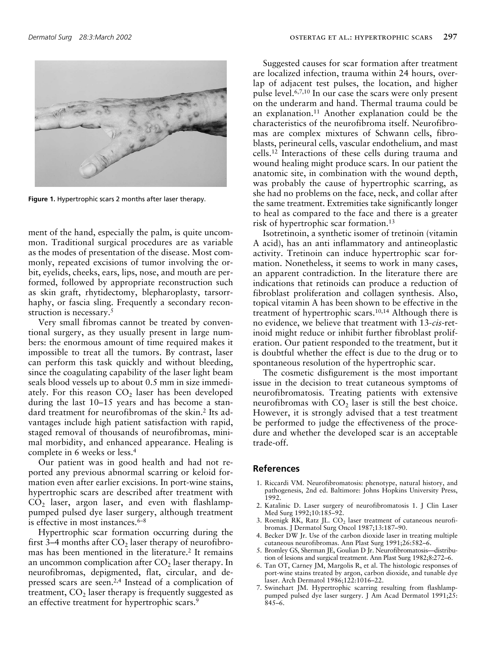

**Figure 1.** Hypertrophic scars 2 months after laser therapy.

ment of the hand, especially the palm, is quite uncommon. Traditional surgical procedures are as variable as the modes of presentation of the disease. Most commonly, repeated excisions of tumor involving the orbit, eyelids, cheeks, ears, lips, nose, and mouth are performed, followed by appropriate reconstruction such as skin graft, rhytidectomy, blepharoplasty, tarsorrhaphy, or fascia sling. Frequently a secondary reconstruction is necessary.<sup>5</sup>

Very small fibromas cannot be treated by conventional surgery, as they usually present in large numbers: the enormous amount of time required makes it impossible to treat all the tumors. By contrast, laser can perform this task quickly and without bleeding, since the coagulating capability of the laser light beam seals blood vessels up to about 0.5 mm in size immediately. For this reason  $CO<sub>2</sub>$  laser has been developed during the last 10–15 years and has become a standard treatment for neurofibromas of the skin.2 Its advantages include high patient satisfaction with rapid, staged removal of thousands of neurofibromas, minimal morbidity, and enhanced appearance. Healing is complete in 6 weeks or less.4

Our patient was in good health and had not reported any previous abnormal scarring or keloid formation even after earlier excisions. In port-wine stains, hypertrophic scars are described after treatment with  $CO<sub>2</sub>$  laser, argon laser, and even with flashlamppumped pulsed dye laser surgery, although treatment is effective in most instances.<sup>6-8</sup>

Hypertrophic scar formation occurring during the first 3–4 months after  $CO<sub>2</sub>$  laser therapy of neurofibromas has been mentioned in the literature.<sup>2</sup> It remains an uncommon complication after  $CO<sub>2</sub>$  laser therapy. In neurofibromas, depigmented, flat, circular, and depressed scars are seen.2,4 Instead of a complication of treatment,  $CO<sub>2</sub>$  laser therapy is frequently suggested as an effective treatment for hypertrophic scars.<sup>9</sup>

Suggested causes for scar formation after treatment are localized infection, trauma within 24 hours, overlap of adjacent test pulses, the location, and higher pulse level.6,7,10 In our case the scars were only present on the underarm and hand. Thermal trauma could be an explanation.11 Another explanation could be the characteristics of the neurofibroma itself. Neurofibromas are complex mixtures of Schwann cells, fibroblasts, perineural cells, vascular endothelium, and mast cells.12 Interactions of these cells during trauma and wound healing might produce scars. In our patient the anatomic site, in combination with the wound depth, was probably the cause of hypertrophic scarring, as she had no problems on the face, neck, and collar after the same treatment. Extremities take significantly longer to heal as compared to the face and there is a greater risk of hypertrophic scar formation.13

Isotretinoin, a synthetic isomer of tretinoin (vitamin A acid), has an anti inflammatory and antineoplastic activity. Tretinoin can induce hypertrophic scar formation. Nonetheless, it seems to work in many cases, an apparent contradiction. In the literature there are indications that retinoids can produce a reduction of fibroblast proliferation and collagen synthesis. Also, topical vitamin A has been shown to be effective in the treatment of hypertrophic scars.10,14 Although there is no evidence, we believe that treatment with 13-*cis*-retinoid might reduce or inhibit further fibroblast proliferation. Our patient responded to the treatment, but it is doubtful whether the effect is due to the drug or to spontaneous resolution of the hypertrophic scar.

The cosmetic disfigurement is the most important issue in the decision to treat cutaneous symptoms of neurofibromatosis. Treating patients with extensive neurofibromas with  $CO<sub>2</sub>$  laser is still the best choice. However, it is strongly advised that a test treatment be performed to judge the effectiveness of the procedure and whether the developed scar is an acceptable trade-off.

## **References**

- 1. Riccardi VM. Neurofibromatosis: phenotype, natural history, and pathogenesis, 2nd ed. Baltimore: Johns Hopkins University Press, 1992.
- 2. Katalinic D. Laser surgery of neurofibromatosis 1. J Clin Laser Med Surg 1992;10:185–92.
- 3. Roenigk RK, Ratz JL.  $CO<sub>2</sub>$  laser treatment of cutaneous neurofibromas. J Dermatol Surg Oncol 1987;13:187–90.
- 4. Becker DW Jr. Use of the carbon dioxide laser in treating multiple cutaneous neurofibromas. Ann Plast Surg 1991;26:582–6.
- 5. Bromley GS, Sherman JE, Goulian D Jr. Neurofibromatosis—distribution of lesions and surgical treatment. Ann Plast Surg 1982;8:272–6.
- 6. Tan OT, Carney JM, Margolis R, et al. The histologic responses of port-wine stains treated by argon, carbon dioxide, and tunable dye laser. Arch Dermatol 1986;122:1016–22.
- 7. Swinehart JM. Hypertrophic scarring resulting from flashlamppumped pulsed dye laser surgery. J Am Acad Dermatol 1991;25: 845–6.